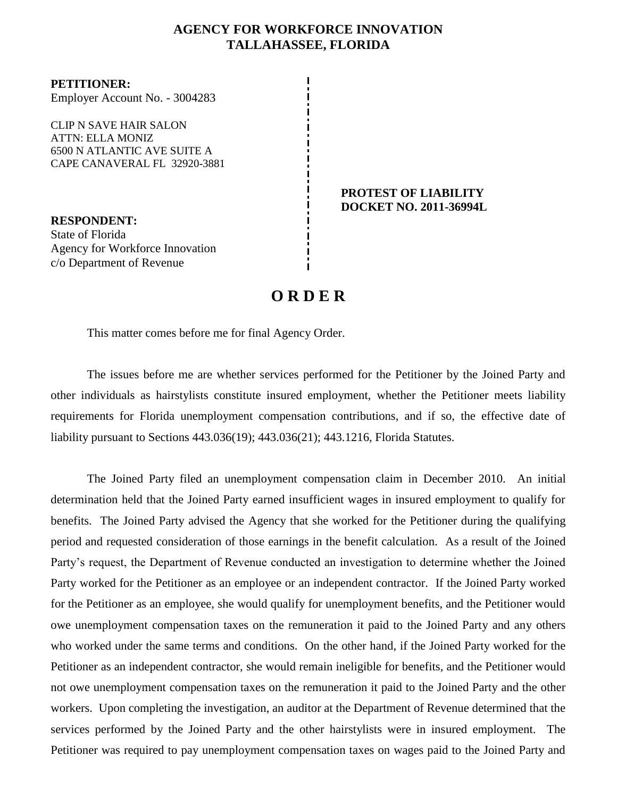## **AGENCY FOR WORKFORCE INNOVATION TALLAHASSEE, FLORIDA**

**PETITIONER:** Employer Account No. - 3004283

CLIP N SAVE HAIR SALON ATTN: ELLA MONIZ 6500 N ATLANTIC AVE SUITE A CAPE CANAVERAL FL 32920-3881

**RESPONDENT:** State of Florida Agency for Workforce Innovation c/o Department of Revenue

## **PROTEST OF LIABILITY DOCKET NO. 2011-36994L**

## **O R D E R**

This matter comes before me for final Agency Order.

The issues before me are whether services performed for the Petitioner by the Joined Party and other individuals as hairstylists constitute insured employment, whether the Petitioner meets liability requirements for Florida unemployment compensation contributions, and if so, the effective date of liability pursuant to Sections 443.036(19); 443.036(21); 443.1216, Florida Statutes.

The Joined Party filed an unemployment compensation claim in December 2010.An initial determination held that the Joined Party earned insufficient wages in insured employment to qualify for benefits.The Joined Party advised the Agency that she worked for the Petitioner during the qualifying period and requested consideration of those earnings in the benefit calculation.As a result of the Joined Party's request, the Department of Revenue conducted an investigation to determine whether the Joined Party worked for the Petitioner as an employee or an independent contractor.If the Joined Party worked for the Petitioner as an employee, she would qualify for unemployment benefits, and the Petitioner would owe unemployment compensation taxes on the remuneration it paid to the Joined Party and any others who worked under the same terms and conditions.On the other hand, if the Joined Party worked for the Petitioner as an independent contractor, she would remain ineligible for benefits, and the Petitioner would not owe unemployment compensation taxes on the remuneration it paid to the Joined Party and the other workers. Upon completing the investigation, an auditor at the Department of Revenue determined that the services performed by the Joined Party and the other hairstylists were in insured employment. The Petitioner was required to pay unemployment compensation taxes on wages paid to the Joined Party and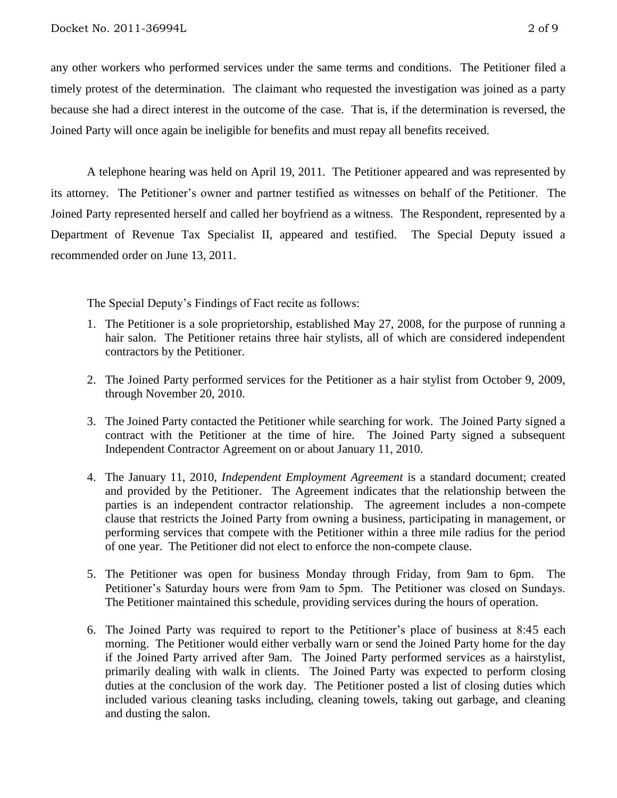any other workers who performed services under the same terms and conditions.The Petitioner filed a timely protest of the determination. The claimant who requested the investigation was joined as a party because she had a direct interest in the outcome of the case. That is, if the determination is reversed, the Joined Party will once again be ineligible for benefits and must repay all benefits received.

A telephone hearing was held on April 19, 2011. The Petitioner appeared and was represented by its attorney. The Petitioner's owner and partner testified as witnesses on behalf of the Petitioner. The Joined Party represented herself and called her boyfriend as a witness. The Respondent, represented by a Department of Revenue Tax Specialist II, appeared and testified. The Special Deputy issued a recommended order on June 13, 2011.

The Special Deputy's Findings of Fact recite as follows:

- 1. The Petitioner is a sole proprietorship, established May 27, 2008, for the purpose of running a hair salon. The Petitioner retains three hair stylists, all of which are considered independent contractors by the Petitioner.
- 2. The Joined Party performed services for the Petitioner as a hair stylist from October 9, 2009, through November 20, 2010.
- 3. The Joined Party contacted the Petitioner while searching for work. The Joined Party signed a contract with the Petitioner at the time of hire. The Joined Party signed a subsequent Independent Contractor Agreement on or about January 11, 2010.
- 4. The January 11, 2010, *Independent Employment Agreement* is a standard document; created and provided by the Petitioner. The Agreement indicates that the relationship between the parties is an independent contractor relationship. The agreement includes a non-compete clause that restricts the Joined Party from owning a business, participating in management, or performing services that compete with the Petitioner within a three mile radius for the period of one year. The Petitioner did not elect to enforce the non-compete clause.
- 5. The Petitioner was open for business Monday through Friday, from 9am to 6pm. The Petitioner's Saturday hours were from 9am to 5pm. The Petitioner was closed on Sundays. The Petitioner maintained this schedule, providing services during the hours of operation.
- 6. The Joined Party was required to report to the Petitioner's place of business at 8:45 each morning. The Petitioner would either verbally warn or send the Joined Party home for the day if the Joined Party arrived after 9am. The Joined Party performed services as a hairstylist, primarily dealing with walk in clients. The Joined Party was expected to perform closing duties at the conclusion of the work day. The Petitioner posted a list of closing duties which included various cleaning tasks including, cleaning towels, taking out garbage, and cleaning and dusting the salon.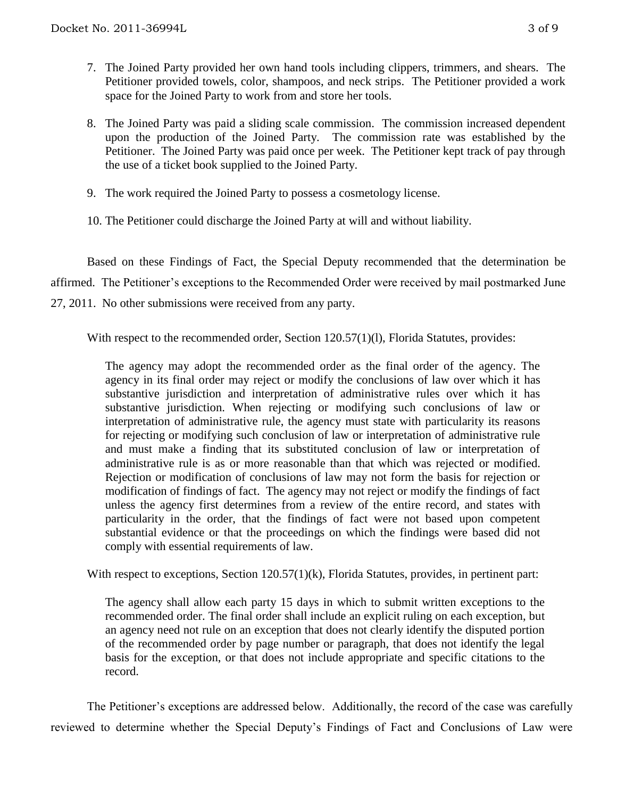- 7. The Joined Party provided her own hand tools including clippers, trimmers, and shears. The Petitioner provided towels, color, shampoos, and neck strips. The Petitioner provided a work space for the Joined Party to work from and store her tools.
- 8. The Joined Party was paid a sliding scale commission. The commission increased dependent upon the production of the Joined Party. The commission rate was established by the Petitioner. The Joined Party was paid once per week. The Petitioner kept track of pay through the use of a ticket book supplied to the Joined Party.
- 9. The work required the Joined Party to possess a cosmetology license.
- 10. The Petitioner could discharge the Joined Party at will and without liability.

Based on these Findings of Fact, the Special Deputy recommended that the determination be affirmed. The Petitioner's exceptions to the Recommended Order were received by mail postmarked June 27, 2011. No other submissions were received from any party.

With respect to the recommended order, Section 120.57(1)(1), Florida Statutes, provides:

The agency may adopt the recommended order as the final order of the agency. The agency in its final order may reject or modify the conclusions of law over which it has substantive jurisdiction and interpretation of administrative rules over which it has substantive jurisdiction. When rejecting or modifying such conclusions of law or interpretation of administrative rule, the agency must state with particularity its reasons for rejecting or modifying such conclusion of law or interpretation of administrative rule and must make a finding that its substituted conclusion of law or interpretation of administrative rule is as or more reasonable than that which was rejected or modified. Rejection or modification of conclusions of law may not form the basis for rejection or modification of findings of fact. The agency may not reject or modify the findings of fact unless the agency first determines from a review of the entire record, and states with particularity in the order, that the findings of fact were not based upon competent substantial evidence or that the proceedings on which the findings were based did not comply with essential requirements of law.

With respect to exceptions, Section 120.57(1)(k), Florida Statutes, provides, in pertinent part:

The agency shall allow each party 15 days in which to submit written exceptions to the recommended order. The final order shall include an explicit ruling on each exception, but an agency need not rule on an exception that does not clearly identify the disputed portion of the recommended order by page number or paragraph, that does not identify the legal basis for the exception, or that does not include appropriate and specific citations to the record.

The Petitioner's exceptions are addressed below. Additionally, the record of the case was carefully reviewed to determine whether the Special Deputy's Findings of Fact and Conclusions of Law were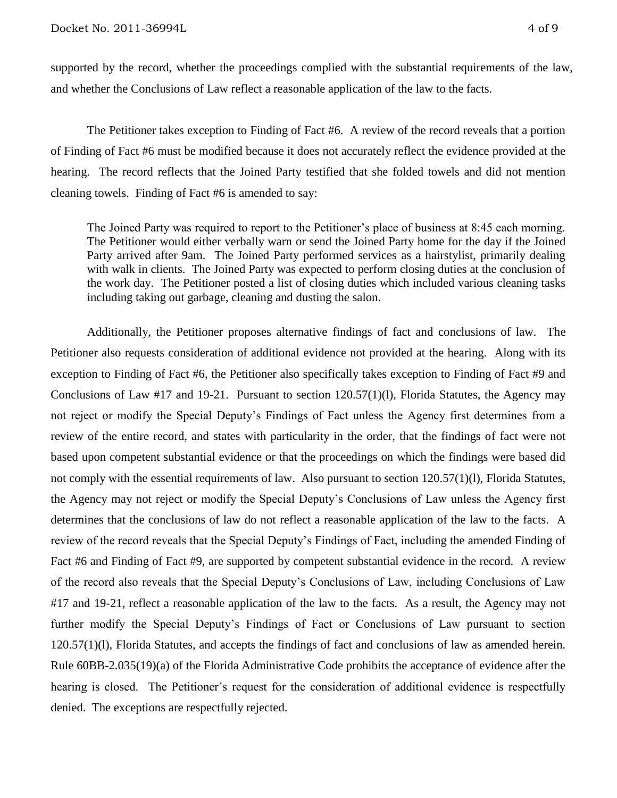supported by the record, whether the proceedings complied with the substantial requirements of the law, and whether the Conclusions of Law reflect a reasonable application of the law to the facts.

The Petitioner takes exception to Finding of Fact #6. A review of the record reveals that a portion of Finding of Fact #6 must be modified because it does not accurately reflect the evidence provided at the hearing.The record reflects that the Joined Party testified that she folded towels and did not mention cleaning towels. Finding of Fact #6 is amended to say:

The Joined Party was required to report to the Petitioner's place of business at 8:45 each morning. The Petitioner would either verbally warn or send the Joined Party home for the day if the Joined Party arrived after 9am. The Joined Party performed services as a hairstylist, primarily dealing with walk in clients. The Joined Party was expected to perform closing duties at the conclusion of the work day. The Petitioner posted a list of closing duties which included various cleaning tasks including taking out garbage, cleaning and dusting the salon.

Additionally, the Petitioner proposes alternative findings of fact and conclusions of law. The Petitioner also requests consideration of additional evidence not provided at the hearing. Along with its exception to Finding of Fact #6, the Petitioner also specifically takes exception to Finding of Fact #9 and Conclusions of Law #17 and 19-21. Pursuant to section 120.57(1)(l), Florida Statutes, the Agency may not reject or modify the Special Deputy's Findings of Fact unless the Agency first determines from a review of the entire record, and states with particularity in the order, that the findings of fact were not based upon competent substantial evidence or that the proceedings on which the findings were based did not comply with the essential requirements of law. Also pursuant to section 120.57(1)(l), Florida Statutes, the Agency may not reject or modify the Special Deputy's Conclusions of Law unless the Agency first determines that the conclusions of law do not reflect a reasonable application of the law to the facts.A review of the record reveals that the Special Deputy's Findings of Fact, including the amended Finding of Fact #6 and Finding of Fact #9, are supported by competent substantial evidence in the record. A review of the record also reveals that the Special Deputy's Conclusions of Law, including Conclusions of Law #17 and 19-21, reflect a reasonable application of the law to the facts. As a result, the Agency may not further modify the Special Deputy's Findings of Fact or Conclusions of Law pursuant to section 120.57(1)(l), Florida Statutes, and accepts the findings of fact and conclusions of law as amended herein. Rule 60BB-2.035(19)(a) of the Florida Administrative Code prohibits the acceptance of evidence after the hearing is closed. The Petitioner's request for the consideration of additional evidence is respectfully denied. The exceptions are respectfully rejected.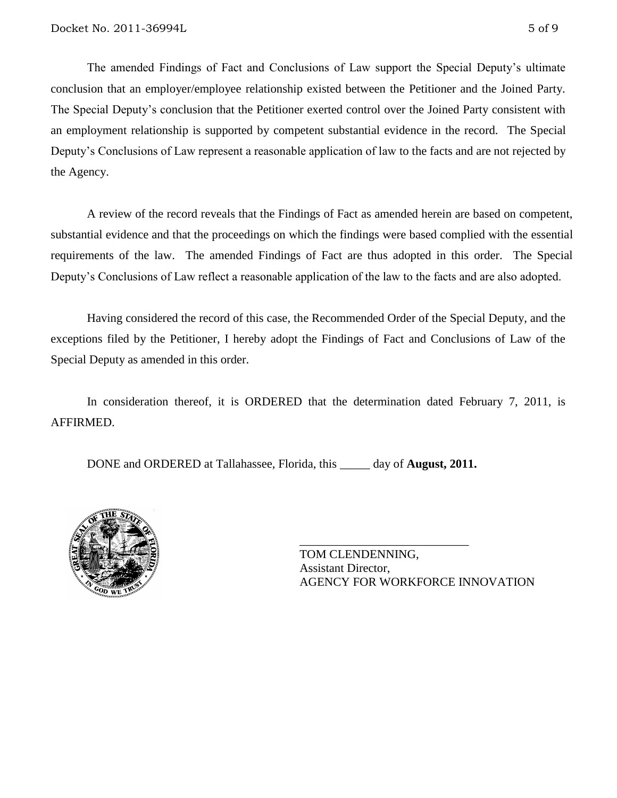The amended Findings of Fact and Conclusions of Law support the Special Deputy's ultimate conclusion that an employer/employee relationship existed between the Petitioner and the Joined Party. The Special Deputy's conclusion that the Petitioner exerted control over the Joined Party consistent with an employment relationship is supported by competent substantial evidence in the record. The Special Deputy's Conclusions of Law represent a reasonable application of law to the facts and are not rejected by the Agency.

A review of the record reveals that the Findings of Fact as amended herein are based on competent, substantial evidence and that the proceedings on which the findings were based complied with the essential requirements of the law. The amended Findings of Fact are thus adopted in this order. The Special Deputy's Conclusions of Law reflect a reasonable application of the law to the facts and are also adopted.

Having considered the record of this case, the Recommended Order of the Special Deputy, and the exceptions filed by the Petitioner, I hereby adopt the Findings of Fact and Conclusions of Law of the Special Deputy as amended in this order.

In consideration thereof, it is ORDERED that the determination dated February 7, 2011, is AFFIRMED.

DONE and ORDERED at Tallahassee, Florida, this \_\_\_\_\_ day of **August, 2011.**



\_\_\_\_\_\_\_\_\_\_\_\_\_\_\_\_\_\_\_\_\_\_\_\_\_\_\_\_ TOM CLENDENNING, Assistant Director, AGENCY FOR WORKFORCE INNOVATION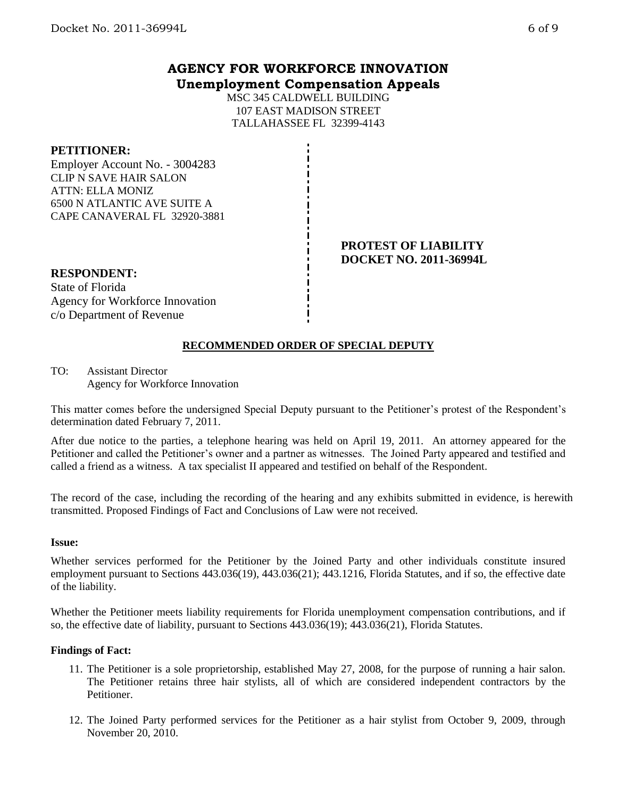## **AGENCY FOR WORKFORCE INNOVATION Unemployment Compensation Appeals**

MSC 345 CALDWELL BUILDING 107 EAST MADISON STREET TALLAHASSEE FL 32399-4143

## **PETITIONER:**

Employer Account No. - 3004283 CLIP N SAVE HAIR SALON ATTN: ELLA MONIZ 6500 N ATLANTIC AVE SUITE A CAPE CANAVERAL FL 32920-3881

## **PROTEST OF LIABILITY DOCKET NO. 2011-36994L**

## **RESPONDENT:**

State of Florida Agency for Workforce Innovation c/o Department of Revenue

# **RECOMMENDED ORDER OF SPECIAL DEPUTY**

TO: Assistant Director Agency for Workforce Innovation

This matter comes before the undersigned Special Deputy pursuant to the Petitioner's protest of the Respondent's determination dated February 7, 2011.

After due notice to the parties, a telephone hearing was held on April 19, 2011. An attorney appeared for the Petitioner and called the Petitioner's owner and a partner as witnesses. The Joined Party appeared and testified and called a friend as a witness. A tax specialist II appeared and testified on behalf of the Respondent.

The record of the case, including the recording of the hearing and any exhibits submitted in evidence, is herewith transmitted. Proposed Findings of Fact and Conclusions of Law were not received.

## **Issue:**

Whether services performed for the Petitioner by the Joined Party and other individuals constitute insured employment pursuant to Sections 443.036(19), 443.036(21); 443.1216, Florida Statutes, and if so, the effective date of the liability.

Whether the Petitioner meets liability requirements for Florida unemployment compensation contributions, and if so, the effective date of liability, pursuant to Sections 443.036(19); 443.036(21), Florida Statutes.

## **Findings of Fact:**

- 11. The Petitioner is a sole proprietorship, established May 27, 2008, for the purpose of running a hair salon. The Petitioner retains three hair stylists, all of which are considered independent contractors by the Petitioner.
- 12. The Joined Party performed services for the Petitioner as a hair stylist from October 9, 2009, through November 20, 2010.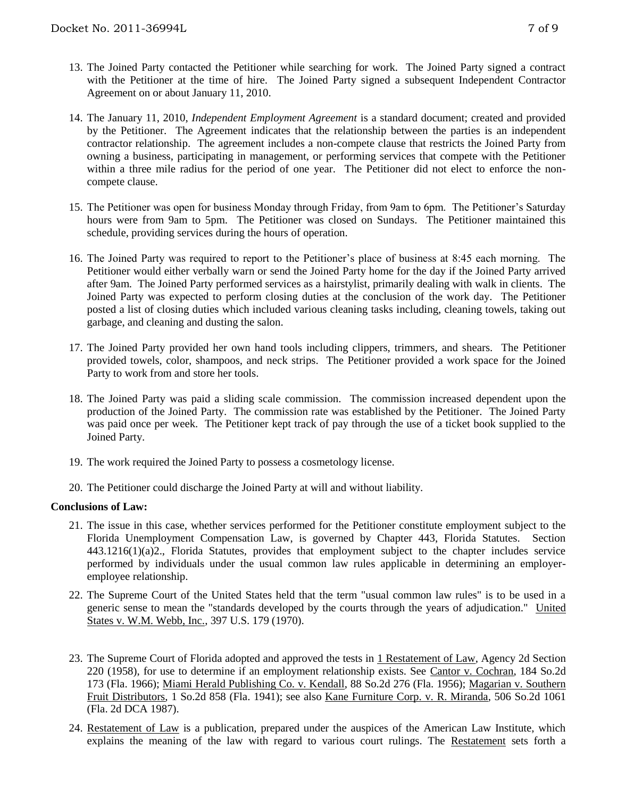- 13. The Joined Party contacted the Petitioner while searching for work. The Joined Party signed a contract with the Petitioner at the time of hire. The Joined Party signed a subsequent Independent Contractor Agreement on or about January 11, 2010.
- 14. The January 11, 2010, *Independent Employment Agreement* is a standard document; created and provided by the Petitioner. The Agreement indicates that the relationship between the parties is an independent contractor relationship. The agreement includes a non-compete clause that restricts the Joined Party from owning a business, participating in management, or performing services that compete with the Petitioner within a three mile radius for the period of one year. The Petitioner did not elect to enforce the noncompete clause.
- 15. The Petitioner was open for business Monday through Friday, from 9am to 6pm. The Petitioner's Saturday hours were from 9am to 5pm. The Petitioner was closed on Sundays. The Petitioner maintained this schedule, providing services during the hours of operation.
- 16. The Joined Party was required to report to the Petitioner's place of business at 8:45 each morning. The Petitioner would either verbally warn or send the Joined Party home for the day if the Joined Party arrived after 9am. The Joined Party performed services as a hairstylist, primarily dealing with walk in clients. The Joined Party was expected to perform closing duties at the conclusion of the work day. The Petitioner posted a list of closing duties which included various cleaning tasks including, cleaning towels, taking out garbage, and cleaning and dusting the salon.
- 17. The Joined Party provided her own hand tools including clippers, trimmers, and shears. The Petitioner provided towels, color, shampoos, and neck strips. The Petitioner provided a work space for the Joined Party to work from and store her tools.
- 18. The Joined Party was paid a sliding scale commission. The commission increased dependent upon the production of the Joined Party. The commission rate was established by the Petitioner. The Joined Party was paid once per week. The Petitioner kept track of pay through the use of a ticket book supplied to the Joined Party.
- 19. The work required the Joined Party to possess a cosmetology license.
- 20. The Petitioner could discharge the Joined Party at will and without liability.

## **Conclusions of Law:**

- 21. The issue in this case, whether services performed for the Petitioner constitute employment subject to the Florida Unemployment Compensation Law, is governed by Chapter 443, Florida Statutes. Section 443.1216(1)(a)2., Florida Statutes, provides that employment subject to the chapter includes service performed by individuals under the usual common law rules applicable in determining an employeremployee relationship.
- 22. The Supreme Court of the United States held that the term "usual common law rules" is to be used in a generic sense to mean the "standards developed by the courts through the years of adjudication." United States v. W.M. Webb, Inc., 397 U.S. 179 (1970).
- 23. The Supreme Court of Florida adopted and approved the tests in 1 Restatement of Law, Agency 2d Section 220 (1958), for use to determine if an employment relationship exists. See Cantor v. Cochran, 184 So.2d 173 (Fla. 1966); Miami Herald Publishing Co. v. Kendall, 88 So.2d 276 (Fla. 1956); Magarian v. Southern Fruit Distributors, 1 So.2d 858 (Fla. 1941); see also Kane Furniture Corp. v. R. Miranda, 506 So.2d 1061 (Fla. 2d DCA 1987).
- 24. Restatement of Law is a publication, prepared under the auspices of the American Law Institute, which explains the meaning of the law with regard to various court rulings. The Restatement sets forth a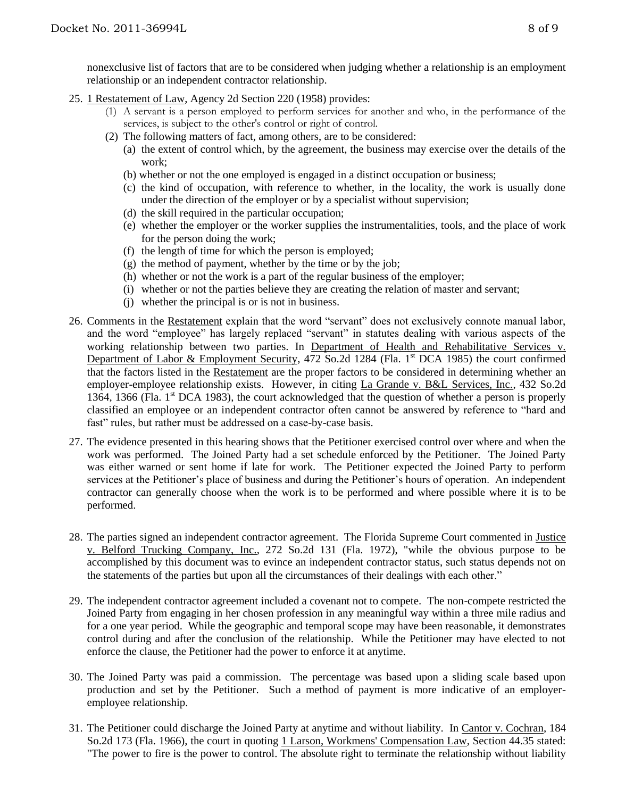nonexclusive list of factors that are to be considered when judging whether a relationship is an employment relationship or an independent contractor relationship.

- 25. 1 Restatement of Law, Agency 2d Section 220 (1958) provides:
	- (1) A servant is a person employed to perform services for another and who, in the performance of the services, is subject to the other's control or right of control.
	- (2) The following matters of fact, among others, are to be considered:
		- (a) the extent of control which, by the agreement, the business may exercise over the details of the work;
		- (b) whether or not the one employed is engaged in a distinct occupation or business;
		- (c) the kind of occupation, with reference to whether, in the locality, the work is usually done under the direction of the employer or by a specialist without supervision;
		- (d) the skill required in the particular occupation;
		- (e) whether the employer or the worker supplies the instrumentalities, tools, and the place of work for the person doing the work;
		- (f) the length of time for which the person is employed;
		- (g) the method of payment, whether by the time or by the job;
		- (h) whether or not the work is a part of the regular business of the employer;
		- (i) whether or not the parties believe they are creating the relation of master and servant;
		- (j) whether the principal is or is not in business.
- 26. Comments in the Restatement explain that the word "servant" does not exclusively connote manual labor, and the word "employee" has largely replaced "servant" in statutes dealing with various aspects of the working relationship between two parties. In Department of Health and Rehabilitative Services v. Department of Labor & Employment Security, 472 So.2d 1284 (Fla. 1<sup>st</sup> DCA 1985) the court confirmed that the factors listed in the Restatement are the proper factors to be considered in determining whether an employer-employee relationship exists. However, in citing La Grande v. B&L Services, Inc., 432 So.2d 1364, 1366 (Fla. 1st DCA 1983), the court acknowledged that the question of whether a person is properly classified an employee or an independent contractor often cannot be answered by reference to "hard and fast" rules, but rather must be addressed on a case-by-case basis.
- 27. The evidence presented in this hearing shows that the Petitioner exercised control over where and when the work was performed. The Joined Party had a set schedule enforced by the Petitioner. The Joined Party was either warned or sent home if late for work. The Petitioner expected the Joined Party to perform services at the Petitioner's place of business and during the Petitioner's hours of operation. An independent contractor can generally choose when the work is to be performed and where possible where it is to be performed.
- 28. The parties signed an independent contractor agreement. The Florida Supreme Court commented in Justice v. Belford Trucking Company, Inc., 272 So.2d 131 (Fla. 1972), "while the obvious purpose to be accomplished by this document was to evince an independent contractor status, such status depends not on the statements of the parties but upon all the circumstances of their dealings with each other."
- 29. The independent contractor agreement included a covenant not to compete. The non-compete restricted the Joined Party from engaging in her chosen profession in any meaningful way within a three mile radius and for a one year period. While the geographic and temporal scope may have been reasonable, it demonstrates control during and after the conclusion of the relationship. While the Petitioner may have elected to not enforce the clause, the Petitioner had the power to enforce it at anytime.
- 30. The Joined Party was paid a commission. The percentage was based upon a sliding scale based upon production and set by the Petitioner. Such a method of payment is more indicative of an employeremployee relationship.
- 31. The Petitioner could discharge the Joined Party at anytime and without liability. In Cantor v. Cochran, 184 So.2d 173 (Fla. 1966), the court in quoting 1 Larson, Workmens' Compensation Law, Section 44.35 stated: "The power to fire is the power to control. The absolute right to terminate the relationship without liability